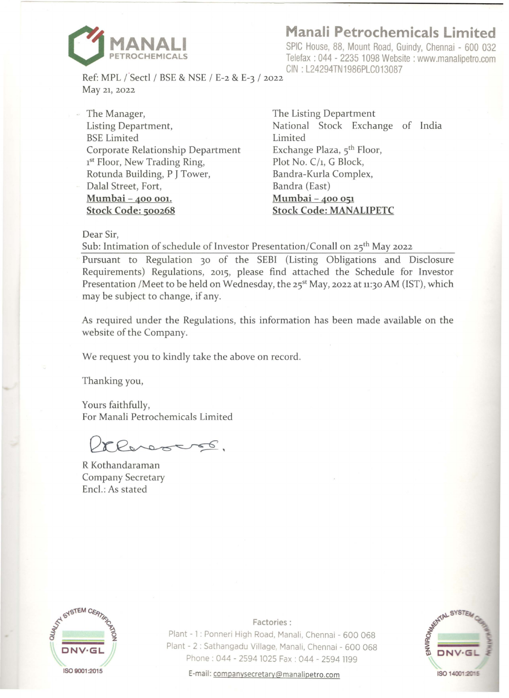

**Manali Petrochemicals Limited** 

SPIC House, 88, Mount Road, Guindy, Chennai - 600 032 Telefax : 044 - 2235 1098 Website : www.manalipetro.com GIN : L24294TN1986PLC013087

Ref: MPL (Sectl / BSE & NSE / E-2 & E-3 / 2022 May 21, 2022

The Manager, The Listing Department Listing Department, BSE Limited Corporate Relationship Department 1<sup>st</sup> Floor, New Trading Ring, Rotunda Building, P J Tower, Dalal Street, Fort, **Mumbai** - **400 001. Stock Code: 500268** 

National Stock Exchange of India Limited Exchange Plaza, 5<sup>th</sup> Floor, Plot No. C/1, G Block, Bandra-Kurla Complex, Bandra (East) **Mumbai-400 051 Stock Code: MANALIPETC** 

Dear Sir,

Sub: Intimation of schedule of Investor Presentation/Conall on 25<sup>th</sup> May 2022

Pursuant to Regulation 30 of the SEBI (Listing Obligations and Disclosure Requirements) Regulations, 2015, please find attached the Schedule for Investor Presentation /Meet to be held on Wednesday, the 25<sup>st</sup> May, 2022 at 11:30 AM (IST), which may be subject to change, if any.

As required under the Regulations, this information has been made available on the website of the Company.

We request you to kindly take the above on record.

Thanking you,

Yours faithfully, For Manali Petrochemicals Limited

renostró.

R Kothandaraman Company Secretary Encl.: As stated



**Factories:** 

Plant - 1 : Ponneri High Road, Manali, Chennai - 600 068 Plant - 2 : Sathangadu Village, Manali, Chennai - 600 068 Phone : 044 - 2594 1025 Fax : 044 - 2594 1199



E-mail: companysecretary@manalipetro.com **ISO 14001:2015**